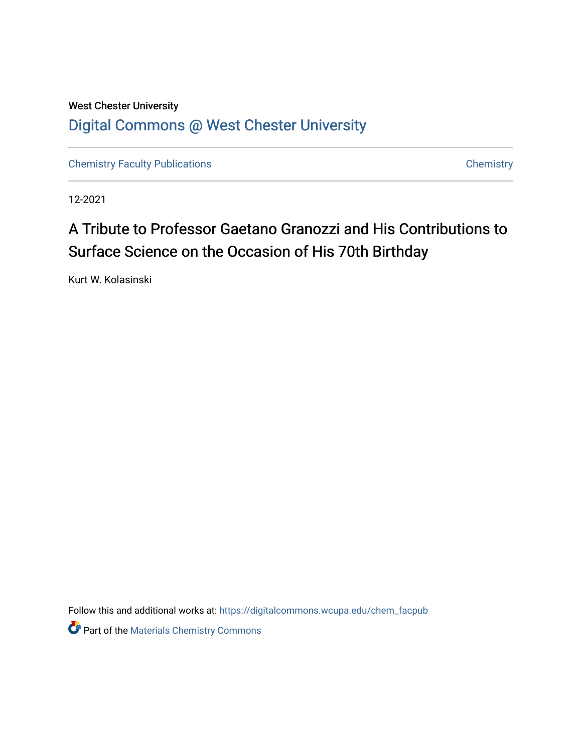## West Chester University [Digital Commons @ West Chester University](https://digitalcommons.wcupa.edu/)

[Chemistry Faculty Publications](https://digitalcommons.wcupa.edu/chem_facpub) **Chemistry** Chemistry

12-2021

## A Tribute to Professor Gaetano Granozzi and His Contributions to Surface Science on the Occasion of His 70th Birthday

Kurt W. Kolasinski

Follow this and additional works at: [https://digitalcommons.wcupa.edu/chem\\_facpub](https://digitalcommons.wcupa.edu/chem_facpub?utm_source=digitalcommons.wcupa.edu%2Fchem_facpub%2F41&utm_medium=PDF&utm_campaign=PDFCoverPages) 

Part of the [Materials Chemistry Commons](http://network.bepress.com/hgg/discipline/135?utm_source=digitalcommons.wcupa.edu%2Fchem_facpub%2F41&utm_medium=PDF&utm_campaign=PDFCoverPages)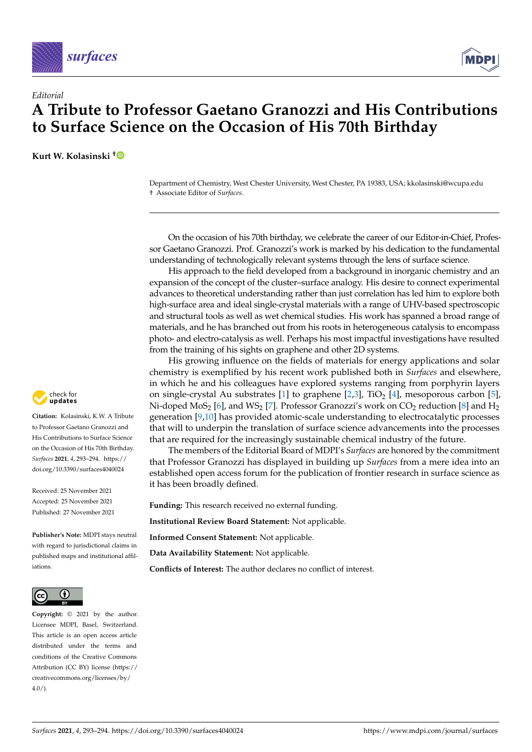



## *Editorial* **A Tribute to Professor Gaetano Granozzi and His Contributions to Surface Science on the Occasion of His 70th Birthday**

**Kurt W. Kolasinski [†](https://orcid.org/0000-0002-9469-2700)**

Department of Chemistry, West Chester University, West Chester, PA 19383, USA; kkolasinski@wcupa.edu † Associate Editor of *Surfaces*.

On the occasion of his 70th birthday, we celebrate the career of our Editor-in-Chief, Professor Gaetano Granozzi. Prof. Granozzi's work is marked by his dedication to the fundamental understanding of technologically relevant systems through the lens of surface science.

His approach to the field developed from a background in inorganic chemistry and an expansion of the concept of the cluster–surface analogy. His desire to connect experimental advances to theoretical understanding rather than just correlation has led him to explore both high-surface area and ideal single-crystal materials with a range of UHV-based spectroscopic and structural tools as well as wet chemical studies. His work has spanned a broad range of materials, and he has branched out from his roots in heterogeneous catalysis to encompass photo- and electro-catalysis as well. Perhaps his most impactful investigations have resulted from the training of his sights on graphene and other 2D systems.

His growing influence on the fields of materials for energy applications and solar chemistry is exemplified by his recent work published both in *Surfaces* and elsewhere, in which he and his colleagues have explored systems ranging from porphyrin layers on single-crystal Au substrates [\[1\]](#page-2-0) to graphene  $[2,3]$  $[2,3]$ , TiO<sub>2</sub> [\[4\]](#page-2-3), mesoporous carbon [\[5\]](#page-2-4), Ni-doped MoS<sub>2</sub> [\[6\]](#page-2-5), and WS<sub>2</sub> [\[7\]](#page-2-6). Professor Granozzi's work on CO<sub>2</sub> reduction [\[8\]](#page-2-7) and H<sub>2</sub> generation [\[9,](#page-2-8)[10\]](#page-2-9) has provided atomic-scale understanding to electrocatalytic processes that will to underpin the translation of surface science advancements into the processes that are required for the increasingly sustainable chemical industry of the future.

The members of the Editorial Board of MDPI's *Surfaces* are honored by the commitment that Professor Granozzi has displayed in building up *Surfaces* from a mere idea into an established open access forum for the publication of frontier research in surface science as it has been broadly defined.

**Funding:** This research received no external funding.

**Institutional Review Board Statement:** Not applicable.

**Informed Consent Statement:** Not applicable.

**Data Availability Statement:** Not applicable.

**Conflicts of Interest:** The author declares no conflict of interest.



**Citation:** Kolasinski, K.W. A Tribute to Professor Gaetano Granozzi and His Contributions to Surface Science on the Occasion of His 70th Birthday. *Surfaces* **2021**, *4*, 293–294. [https://](https://doi.org/10.3390/surfaces4040024) [doi.org/10.3390/surfaces4040024](https://doi.org/10.3390/surfaces4040024)

Received: 25 November 2021 Accepted: 25 November 2021 Published: 27 November 2021

**Publisher's Note:** MDPI stays neutral with regard to jurisdictional claims in published maps and institutional affiliations.



**Copyright:** © 2021 by the author. Licensee MDPI, Basel, Switzerland. This article is an open access article distributed under the terms and conditions of the Creative Commons Attribution (CC BY) license (https:/[/](https://creativecommons.org/licenses/by/4.0/) [creativecommons.org/licenses/by/](https://creativecommons.org/licenses/by/4.0/)  $4.0/$ ).